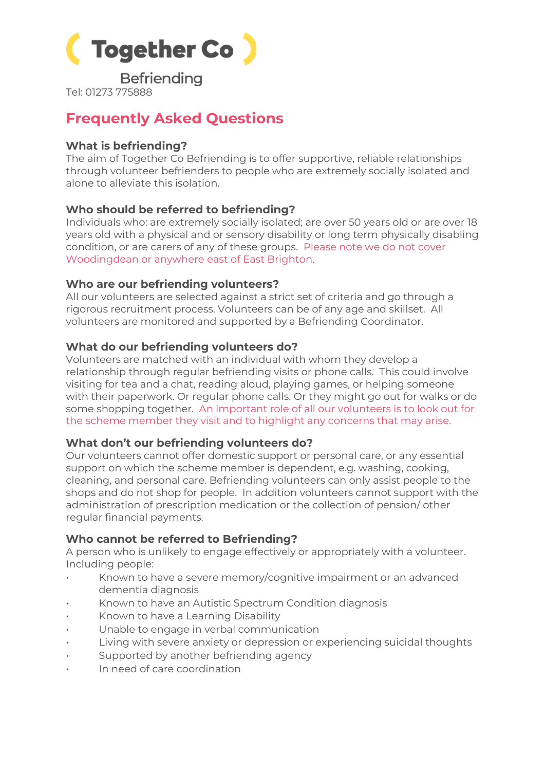

**Befriending** 

Tel: 01273 775888

# **Frequently Asked Questions**

# **What is befriending?**

The aim of Together Co Befriending is to offer supportive, reliable relationships through volunteer befrienders to people who are extremely socially isolated and alone to alleviate this isolation.

# **Who should be referred to befriending?**

Individuals who: are extremely socially isolated; are over 50 years old or are over 18 years old with a physical and or sensory disability or long term physically disabling condition, or are carers of any of these groups. Please note we do not cover Woodingdean or anywhere east of East Brighton.

# **Who are our befriending volunteers?**

All our volunteers are selected against a strict set of criteria and go through a rigorous recruitment process. Volunteers can be of any age and skillset. All volunteers are monitored and supported by a Befriending Coordinator.

# **What do our befriending volunteers do?**

Volunteers are matched with an individual with whom they develop a relationship through regular befriending visits or phone calls. This could involve visiting for tea and a chat, reading aloud, playing games, or helping someone with their paperwork. Or regular phone calls. Or they might go out for walks or do some shopping together. An important role of all our volunteers is to look out for the scheme member they visit and to highlight any concerns that may arise.

# **What don't our befriending volunteers do?**

Our volunteers cannot offer domestic support or personal care, or any essential support on which the scheme member is dependent, e.g. washing, cooking, cleaning, and personal care. Befriending volunteers can only assist people to the shops and do not shop for people. In addition volunteers cannot support with the administration of prescription medication or the collection of pension/ other regular financial payments.

# **Who cannot be referred to Befriending?**

A person who is unlikely to engage effectively or appropriately with a volunteer. Including people:

- Known to have a severe memory/cognitive impairment or an advanced dementia diagnosis
- Known to have an Autistic Spectrum Condition diagnosis
- Known to have a Learning Disability
- Unable to engage in verbal communication
- Living with severe anxiety or depression or experiencing suicidal thoughts
- Supported by another befriending agency
- In need of care coordination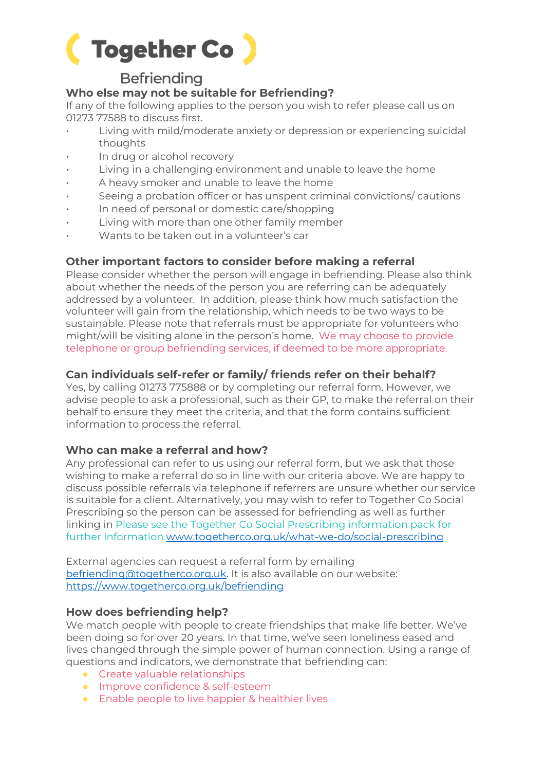

# **Befriending**

# **Who else may not be suitable for Befriending?**

If any of the following applies to the person you wish to refer please call us on 01273 77588 to discuss first.

- Living with mild/moderate anxiety or depression or experiencing suicidal thoughts
- In drug or alcohol recovery
- Living in a challenging environment and unable to leave the home
- A heavy smoker and unable to leave the home
- Seeing a probation officer or has unspent criminal convictions/ cautions
- In need of personal or domestic care/shopping
- Living with more than one other family member
- Wants to be taken out in a volunteer's car

#### **Other important factors to consider before making a referral**

Please consider whether the person will engage in befriending. Please also think about whether the needs of the person you are referring can be adequately addressed by a volunteer. In addition, please think how much satisfaction the volunteer will gain from the relationship, which needs to be two ways to be sustainable. Please note that referrals must be appropriate for volunteers who might/will be visiting alone in the person's home. We may choose to provide telephone or group befriending services, if deemed to be more appropriate.

#### **Can individuals self-refer or family/ friends refer on their behalf?**

Yes, by calling 01273 775888 or by completing our referral form. However, we advise people to ask a professional, such as their GP, to make the referral on their behalf to ensure they meet the criteria, and that the form contains sufficient information to process the referral.

#### **Who can make a referral and how?**

Any professional can refer to us using our referral form, but we ask that those wishing to make a referral do so in line with our criteria above. We are happy to discuss possible referrals via telephone if referrers are unsure whether our service is suitable for a client. Alternatively, you may wish to refer to Together Co Social Prescribing so the person can be assessed for befriending as well as further linking in Please see the Together Co Social Prescribing information pack for further information [www.togetherco.org.uk/what-we-do/social-prescribing](http://www.togetherco.org.uk/what-we-do/social-prescribing)

External agencies can request a referral form by emailing [befriending@togetherco.org.uk.](mailto:befriending@togetherco.org.uk) It is also available on our website: https://www.togetherco.org.uk/befriending

#### **How does befriending help?**

We match people with people to create friendships that make life better. We've been doing so for over 20 years. In that time, we've seen loneliness eased and lives changed through the simple power of human connection. Using a range of questions and indicators, we demonstrate that befriending can:

- Create valuable relationships
- Improve confidence & self-esteem
- Enable people to live happier & healthier lives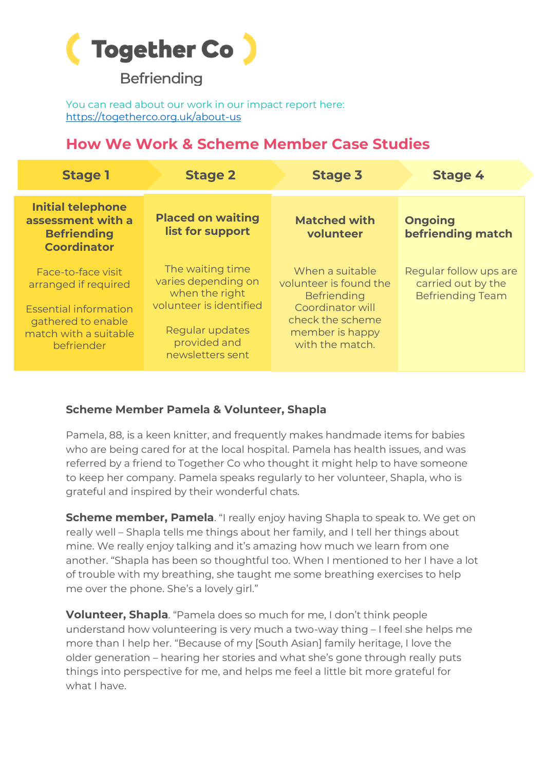

**Befriending** 

You can read about our work in our impact report here: <https://togetherco.org.uk/about-us>

# **How We Work & Scheme Member Case Studies**

| <b>Stage 1</b>                                                                                                                          | <b>Stage 2</b>                                                                                                                              | <b>Stage 3</b>                                                                                                                                | <b>Stage 4</b>                                                          |
|-----------------------------------------------------------------------------------------------------------------------------------------|---------------------------------------------------------------------------------------------------------------------------------------------|-----------------------------------------------------------------------------------------------------------------------------------------------|-------------------------------------------------------------------------|
| <b>Initial telephone</b><br>assessment with a<br><b>Befriending</b><br><b>Coordinator</b>                                               | <b>Placed on waiting</b><br>list for support                                                                                                | <b>Matched with</b><br>volunteer                                                                                                              | <b>Ongoing</b><br>befriending match                                     |
| Face-to-face visit<br>arranged if required<br><b>Essential information</b><br>gathered to enable<br>match with a suitable<br>befriender | The waiting time<br>varies depending on<br>when the right<br>volunteer is identified<br>Regular updates<br>provided and<br>newsletters sent | When a suitable<br>volunteer is found the<br><b>Befriending</b><br>Coordinator will<br>check the scheme<br>member is happy<br>with the match. | Regular follow ups are<br>carried out by the<br><b>Befriending Team</b> |

# **Scheme Member Pamela & Volunteer, Shapla**

Pamela, 88, is a keen knitter, and frequently makes handmade items for babies who are being cared for at the local hospital. Pamela has health issues, and was referred by a friend to Together Co who thought it might help to have someone to keep her company. Pamela speaks regularly to her volunteer, Shapla, who is grateful and inspired by their wonderful chats.

**Scheme member, Pamela**. "I really enjoy having Shapla to speak to. We get on really well – Shapla tells me things about her family, and I tell her things about mine. We really enjoy talking and it's amazing how much we learn from one another. "Shapla has been so thoughtful too. When I mentioned to her I have a lot of trouble with my breathing, she taught me some breathing exercises to help me over the phone. She's a lovely girl."

**Volunteer, Shapla**. "Pamela does so much for me, I don't think people understand how volunteering is very much a two-way thing – I feel she helps me more than I help her. "Because of my [South Asian] family heritage, I love the older generation – hearing her stories and what she's gone through really puts things into perspective for me, and helps me feel a little bit more grateful for what I have.